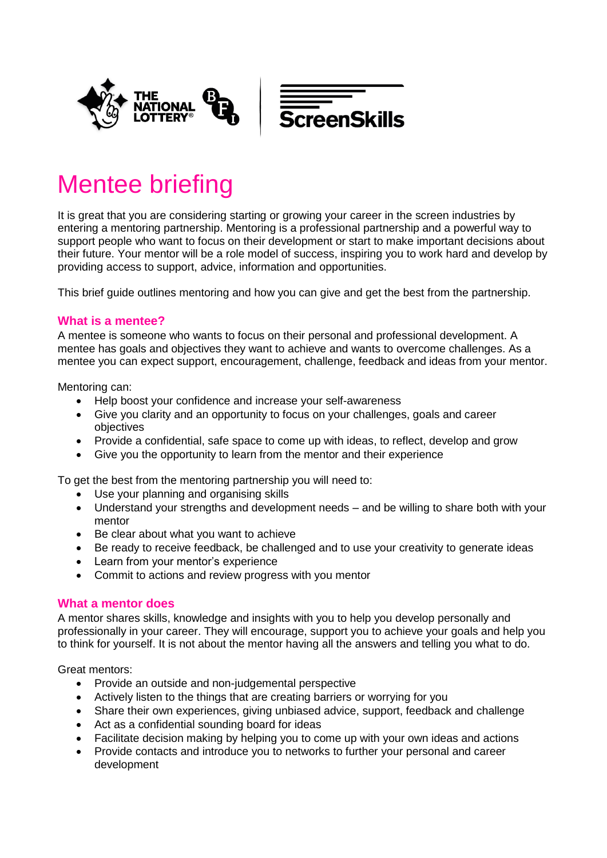

# Mentee briefing

It is great that you are considering starting or growing your career in the screen industries by entering a mentoring partnership. Mentoring is a professional partnership and a powerful way to support people who want to focus on their development or start to make important decisions about their future. Your mentor will be a role model of success, inspiring you to work hard and develop by providing access to support, advice, information and opportunities.

This brief guide outlines mentoring and how you can give and get the best from the partnership.

# **What is a mentee?**

A mentee is someone who wants to focus on their personal and professional development. A mentee has goals and objectives they want to achieve and wants to overcome challenges. As a mentee you can expect support, encouragement, challenge, feedback and ideas from your mentor.

Mentoring can:

- Help boost your confidence and increase your self-awareness
- Give you clarity and an opportunity to focus on your challenges, goals and career objectives
- Provide a confidential, safe space to come up with ideas, to reflect, develop and grow
- Give you the opportunity to learn from the mentor and their experience

To get the best from the mentoring partnership you will need to:

- Use your planning and organising skills
- Understand your strengths and development needs and be willing to share both with your mentor
- Be clear about what you want to achieve
- Be ready to receive feedback, be challenged and to use your creativity to generate ideas
- Learn from your mentor's experience
- Commit to actions and review progress with you mentor

## **What a mentor does**

A mentor shares skills, knowledge and insights with you to help you develop personally and professionally in your career. They will encourage, support you to achieve your goals and help you to think for yourself. It is not about the mentor having all the answers and telling you what to do.

Great mentors:

- Provide an outside and non-judgemental perspective
- Actively listen to the things that are creating barriers or worrying for you
- Share their own experiences, giving unbiased advice, support, feedback and challenge
- Act as a confidential sounding board for ideas
- Facilitate decision making by helping you to come up with your own ideas and actions
- Provide contacts and introduce you to networks to further your personal and career development